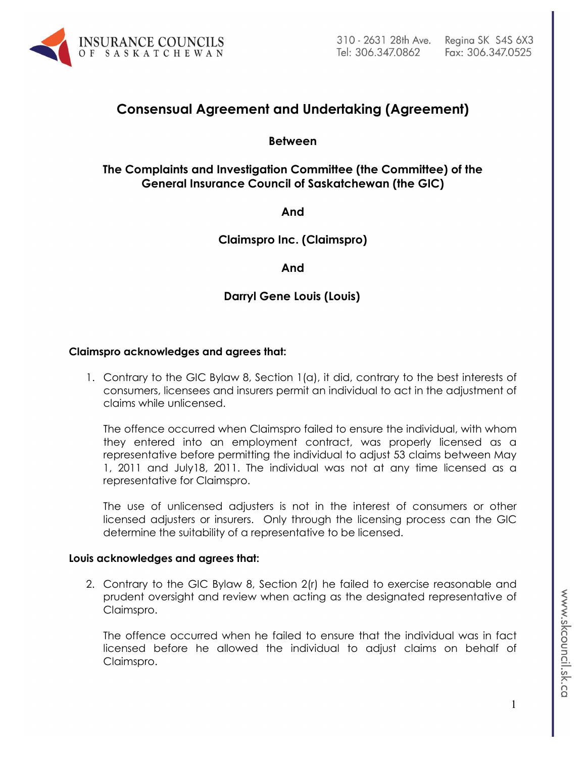

# **Consensual Agreement and Undertaking (Agreement)**

**Between**

# **The Complaints and Investigation Committee (the Committee) of the General Insurance Council of Saskatchewan (the GIC)**

**And**

**Claimspro Inc. (Claimspro)**

### **And**

# **Darryl Gene Louis (Louis)**

#### **Claimspro acknowledges and agrees that:**

1. Contrary to the GIC Bylaw 8, Section 1(a), it did, contrary to the best interests of consumers, licensees and insurers permit an individual to act in the adjustment of claims while unlicensed.

The offence occurred when Claimspro failed to ensure the individual, with whom they entered into an employment contract, was properly licensed as a representative before permitting the individual to adjust 53 claims between May 1, 2011 and July18, 2011. The individual was not at any time licensed as a representative for Claimspro.

The use of unlicensed adjusters is not in the interest of consumers or other licensed adjusters or insurers. Only through the licensing process can the GIC determine the suitability of a representative to be licensed.

#### **Louis acknowledges and agrees that:**

2. Contrary to the GIC Bylaw 8, Section 2(r) he failed to exercise reasonable and prudent oversight and review when acting as the designated representative of Claimspro.

The offence occurred when he failed to ensure that the individual was in fact licensed before he allowed the individual to adjust claims on behalf of Claimspro.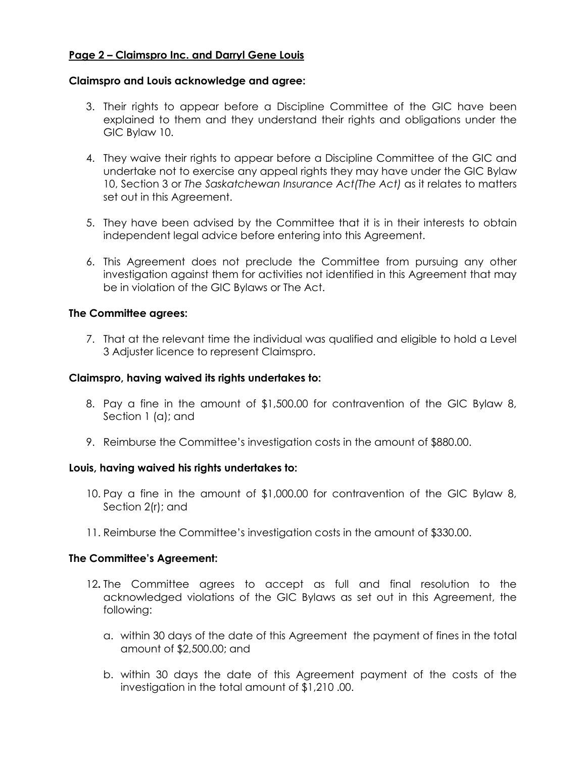## **Page 2 – Claimspro Inc. and Darryl Gene Louis**

#### **Claimspro and Louis acknowledge and agree:**

- 3. Their rights to appear before a Discipline Committee of the GIC have been explained to them and they understand their rights and obligations under the GIC Bylaw 10.
- 4. They waive their rights to appear before a Discipline Committee of the GIC and undertake not to exercise any appeal rights they may have under the GIC Bylaw 10, Section 3 or *The Saskatchewan Insurance Act(The Act)* as it relates to matters set out in this Agreement.
- 5. They have been advised by the Committee that it is in their interests to obtain independent legal advice before entering into this Agreement.
- 6. This Agreement does not preclude the Committee from pursuing any other investigation against them for activities not identified in this Agreement that may be in violation of the GIC Bylaws or The Act.

#### **The Committee agrees:**

7. That at the relevant time the individual was qualified and eligible to hold a Level 3 Adjuster licence to represent Claimspro.

#### **Claimspro, having waived its rights undertakes to:**

- 8. Pay a fine in the amount of \$1,500.00 for contravention of the GIC Bylaw 8, Section 1 (a); and
- 9. Reimburse the Committee's investigation costs in the amount of \$880.00.

#### **Louis, having waived his rights undertakes to:**

- 10. Pay a fine in the amount of \$1,000.00 for contravention of the GIC Bylaw 8, Section 2(r); and
- 11. Reimburse the Committee's investigation costs in the amount of \$330.00.

#### **The Committee's Agreement:**

- 12**.** The Committee agrees to accept as full and final resolution to the acknowledged violations of the GIC Bylaws as set out in this Agreement, the following:
	- a. within 30 days of the date of this Agreement the payment of fines in the total amount of \$2,500.00; and
	- b. within 30 days the date of this Agreement payment of the costs of the investigation in the total amount of \$1,210 .00.